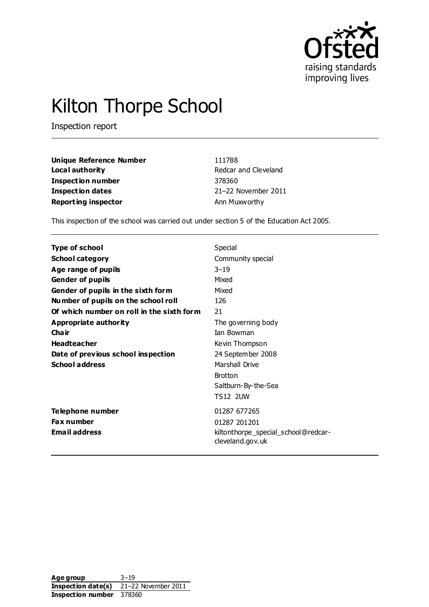

# Kilton Thorpe School

Inspection report

| Unique Reference Number    | 111788               |
|----------------------------|----------------------|
| Local authority            | Redcar and Cleveland |
| Inspection number          | 378360               |
| Inspection dates           | 21-22 November 2011  |
| <b>Reporting inspector</b> | Ann Muxworthy        |

This inspection of the school was carried out under section 5 of the Education Act 2005.

| Type of school                            | Special                                                 |
|-------------------------------------------|---------------------------------------------------------|
| <b>School category</b>                    | Community special                                       |
| Age range of pupils                       | $3 - 19$                                                |
| <b>Gender of pupils</b>                   | Mixed                                                   |
| Gender of pupils in the sixth form        | Mixed                                                   |
| Number of pupils on the school roll       | 126                                                     |
| Of which number on roll in the sixth form | 21                                                      |
| Appropriate authority                     | The governing body                                      |
| Cha ir                                    | <b>Tan Bowman</b>                                       |
| <b>Headteacher</b>                        | Kevin Thompson                                          |
| Date of previous school inspection        | 24 September 2008                                       |
| <b>School address</b>                     | Marshall Drive                                          |
|                                           | <b>Brotton</b>                                          |
|                                           | Saltburn-By-the-Sea                                     |
|                                           | <b>TS12 2UW</b>                                         |
| Telephone number                          | 01287 677265                                            |
| <b>Fax number</b>                         | 01287 201201                                            |
| <b>Email address</b>                      | kiltonthorpe_special_school@redcar-<br>cleveland.gov.uk |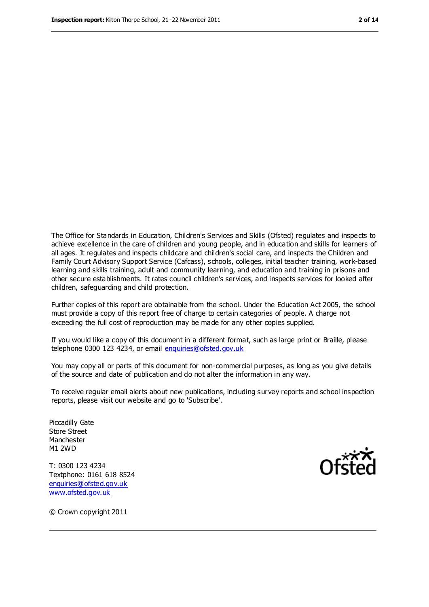The Office for Standards in Education, Children's Services and Skills (Ofsted) regulates and inspects to achieve excellence in the care of children and young people, and in education and skills for learners of all ages. It regulates and inspects childcare and children's social care, and inspects the Children and Family Court Advisory Support Service (Cafcass), schools, colleges, initial teacher training, work-based learning and skills training, adult and community learning, and education and training in prisons and other secure establishments. It rates council children's services, and inspects services for looked after children, safeguarding and child protection.

Further copies of this report are obtainable from the school. Under the Education Act 2005, the school must provide a copy of this report free of charge to certain categories of people. A charge not exceeding the full cost of reproduction may be made for any other copies supplied.

If you would like a copy of this document in a different format, such as large print or Braille, please telephone 0300 123 4234, or email [enquiries@ofsted.gov.uk](mailto:enquiries@ofsted.gov.uk)

You may copy all or parts of this document for non-commercial purposes, as long as you give details of the source and date of publication and do not alter the information in any way.

To receive regular email alerts about new publications, including survey reports and school inspection reports, please visit our website and go to 'Subscribe'.

Piccadilly Gate Store Street Manchester M1 2WD

T: 0300 123 4234 Textphone: 0161 618 8524 [enquiries@ofsted.gov.uk](mailto:enquiries@ofsted.gov.uk) [www.ofsted.gov.uk](http://www.ofsted.gov.uk/)



© Crown copyright 2011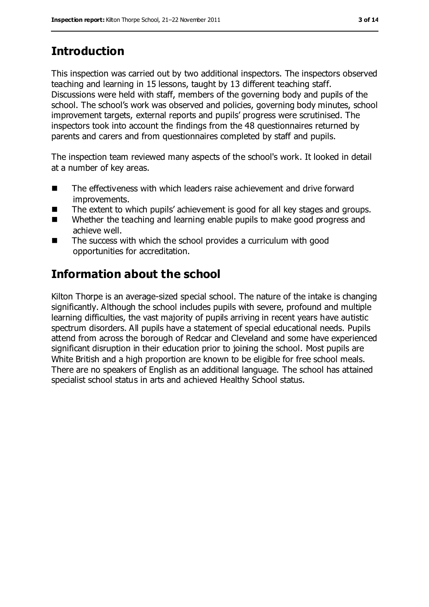# **Introduction**

This inspection was carried out by two additional inspectors. The inspectors observed teaching and learning in 15 lessons, taught by 13 different teaching staff. Discussions were held with staff, members of the governing body and pupils of the school. The school's work was observed and policies, governing body minutes, school improvement targets, external reports and pupils' progress were scrutinised. The inspectors took into account the findings from the 48 questionnaires returned by parents and carers and from questionnaires completed by staff and pupils.

The inspection team reviewed many aspects of the school's work. It looked in detail at a number of key areas.

- The effectiveness with which leaders raise achievement and drive forward improvements.
- The extent to which pupils' achievement is good for all key stages and groups.
- Whether the teaching and learning enable pupils to make good progress and achieve well.
- The success with which the school provides a curriculum with good opportunities for accreditation.

## **Information about the school**

Kilton Thorpe is an average-sized special school. The nature of the intake is changing significantly. Although the school includes pupils with severe, profound and multiple learning difficulties, the vast majority of pupils arriving in recent years have autistic spectrum disorders. All pupils have a statement of special educational needs. Pupils attend from across the borough of Redcar and Cleveland and some have experienced significant disruption in their education prior to joining the school. Most pupils are White British and a high proportion are known to be eligible for free school meals. There are no speakers of English as an additional language. The school has attained specialist school status in arts and achieved Healthy School status.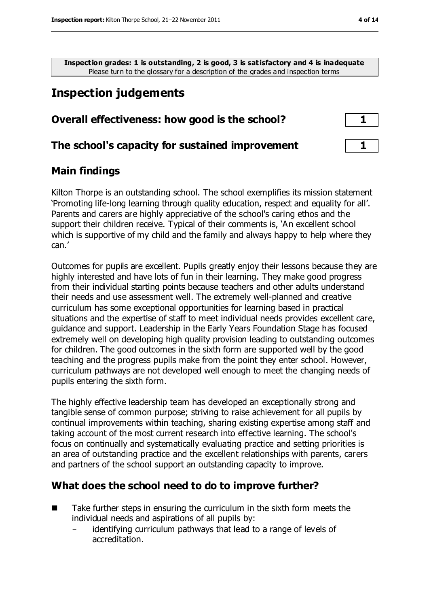**Inspection grades: 1 is outstanding, 2 is good, 3 is satisfactory and 4 is inadequate** Please turn to the glossary for a description of the grades and inspection terms

## **Inspection judgements**

#### **Overall effectiveness: how good is the school? 1**

#### **The school's capacity for sustained improvement 1**

#### **Main findings**

Kilton Thorpe is an outstanding school. The school exemplifies its mission statement 'Promoting life-long learning through quality education, respect and equality for all'. Parents and carers are highly appreciative of the school's caring ethos and the support their children receive. Typical of their comments is, 'An excellent school which is supportive of my child and the family and always happy to help where they can.'

Outcomes for pupils are excellent. Pupils greatly enjoy their lessons because they are highly interested and have lots of fun in their learning. They make good progress from their individual starting points because teachers and other adults understand their needs and use assessment well. The extremely well-planned and creative curriculum has some exceptional opportunities for learning based in practical situations and the expertise of staff to meet individual needs provides excellent care, guidance and support. Leadership in the Early Years Foundation Stage has focused extremely well on developing high quality provision leading to outstanding outcomes for children. The good outcomes in the sixth form are supported well by the good teaching and the progress pupils make from the point they enter school. However, curriculum pathways are not developed well enough to meet the changing needs of pupils entering the sixth form.

The highly effective leadership team has developed an exceptionally strong and tangible sense of common purpose; striving to raise achievement for all pupils by continual improvements within teaching, sharing existing expertise among staff and taking account of the most current research into effective learning. The school's focus on continually and systematically evaluating practice and setting priorities is an area of outstanding practice and the excellent relationships with parents, carers and partners of the school support an outstanding capacity to improve.

#### **What does the school need to do to improve further?**

- $\blacksquare$  Take further steps in ensuring the curriculum in the sixth form meets the individual needs and aspirations of all pupils by:
	- identifying curriculum pathways that lead to a range of levels of accreditation.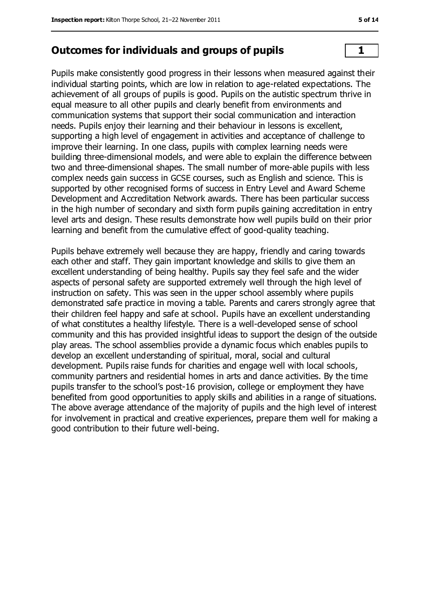#### **Outcomes for individuals and groups of pupils 1**

Pupils make consistently good progress in their lessons when measured against their individual starting points, which are low in relation to age-related expectations. The achievement of all groups of pupils is good. Pupils on the autistic spectrum thrive in equal measure to all other pupils and clearly benefit from environments and communication systems that support their social communication and interaction needs. Pupils enjoy their learning and their behaviour in lessons is excellent, supporting a high level of engagement in activities and acceptance of challenge to improve their learning. In one class, pupils with complex learning needs were building three-dimensional models, and were able to explain the difference between two and three-dimensional shapes. The small number of more-able pupils with less complex needs gain success in GCSE courses, such as English and science. This is supported by other recognised forms of success in Entry Level and Award Scheme Development and Accreditation Network awards. There has been particular success in the high number of secondary and sixth form pupils gaining accreditation in entry level arts and design. These results demonstrate how well pupils build on their prior learning and benefit from the cumulative effect of good-quality teaching.

Pupils behave extremely well because they are happy, friendly and caring towards each other and staff. They gain important knowledge and skills to give them an excellent understanding of being healthy. Pupils say they feel safe and the wider aspects of personal safety are supported extremely well through the high level of instruction on safety. This was seen in the upper school assembly where pupils demonstrated safe practice in moving a table. Parents and carers strongly agree that their children feel happy and safe at school. Pupils have an excellent understanding of what constitutes a healthy lifestyle. There is a well-developed sense of school community and this has provided insightful ideas to support the design of the outside play areas. The school assemblies provide a dynamic focus which enables pupils to develop an excellent understanding of spiritual, moral, social and cultural development. Pupils raise funds for charities and engage well with local schools, community partners and residential homes in arts and dance activities. By the time pupils transfer to the school's post-16 provision, college or employment they have benefited from good opportunities to apply skills and abilities in a range of situations. The above average attendance of the majority of pupils and the high level of interest for involvement in practical and creative experiences, prepare them well for making a good contribution to their future well-being.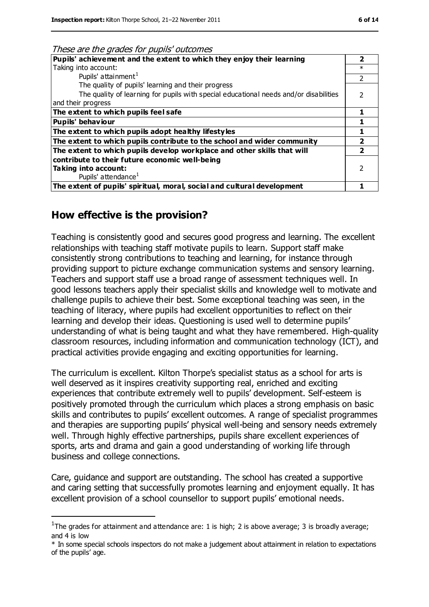| These are the grades for pupils' outcomes |  |
|-------------------------------------------|--|
|                                           |  |

| Pupils' achievement and the extent to which they enjoy their learning                 |        |
|---------------------------------------------------------------------------------------|--------|
| Taking into account:                                                                  | $\ast$ |
| Pupils' attainment <sup>1</sup>                                                       |        |
| The quality of pupils' learning and their progress                                    |        |
| The quality of learning for pupils with special educational needs and/or disabilities |        |
| and their progress                                                                    |        |
| The extent to which pupils feel safe                                                  |        |
| <b>Pupils' behaviour</b>                                                              |        |
| The extent to which pupils adopt healthy lifestyles                                   |        |
| The extent to which pupils contribute to the school and wider community               |        |
| The extent to which pupils develop workplace and other skills that will               |        |
| contribute to their future economic well-being                                        |        |
| Taking into account:                                                                  |        |
| Pupils' attendance <sup>1</sup>                                                       |        |
| The extent of pupils' spiritual, moral, social and cultural development               |        |

#### **How effective is the provision?**

 $\overline{a}$ 

Teaching is consistently good and secures good progress and learning. The excellent relationships with teaching staff motivate pupils to learn. Support staff make consistently strong contributions to teaching and learning, for instance through providing support to picture exchange communication systems and sensory learning. Teachers and support staff use a broad range of assessment techniques well. In good lessons teachers apply their specialist skills and knowledge well to motivate and challenge pupils to achieve their best. Some exceptional teaching was seen, in the teaching of literacy, where pupils had excellent opportunities to reflect on their learning and develop their ideas. Questioning is used well to determine pupils' understanding of what is being taught and what they have remembered. High-quality classroom resources, including information and communication technology (ICT), and practical activities provide engaging and exciting opportunities for learning.

The curriculum is excellent. Kilton Thorpe's specialist status as a school for arts is well deserved as it inspires creativity supporting real, enriched and exciting experiences that contribute extremely well to pupils' development. Self-esteem is positively promoted through the curriculum which places a strong emphasis on basic skills and contributes to pupils' excellent outcomes. A range of specialist programmes and therapies are supporting pupils' physical well-being and sensory needs extremely well. Through highly effective partnerships, pupils share excellent experiences of sports, arts and drama and gain a good understanding of working life through business and college connections.

Care, guidance and support are outstanding. The school has created a supportive and caring setting that successfully promotes learning and enjoyment equally. It has excellent provision of a school counsellor to support pupils' emotional needs.

<sup>&</sup>lt;sup>1</sup>The grades for attainment and attendance are: 1 is high; 2 is above average; 3 is broadly average; and 4 is low

<sup>\*</sup> In some special schools inspectors do not make a judgement about attainment in relation to expectations of the pupils' age.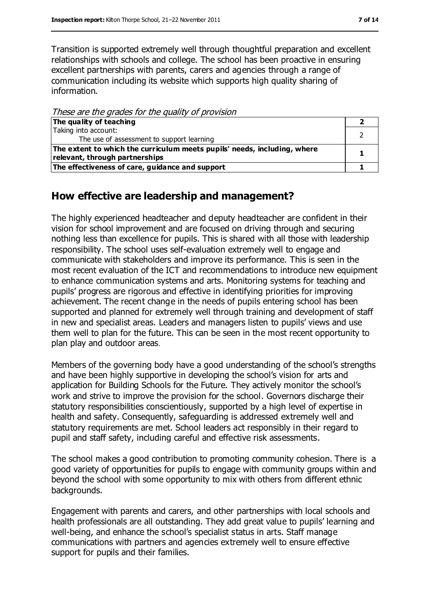Transition is supported extremely well through thoughtful preparation and excellent relationships with schools and college. The school has been proactive in ensuring excellent partnerships with parents, carers and agencies through a range of communication including its website which supports high quality sharing of information.

These are the grades for the quality of provision

| The quality of teaching                                                  |  |
|--------------------------------------------------------------------------|--|
| Taking into account:                                                     |  |
| The use of assessment to support learning                                |  |
| The extent to which the curriculum meets pupils' needs, including, where |  |
| relevant, through partnerships                                           |  |
| The effectiveness of care, guidance and support                          |  |

#### **How effective are leadership and management?**

The highly experienced headteacher and deputy headteacher are confident in their vision for school improvement and are focused on driving through and securing nothing less than excellence for pupils. This is shared with all those with leadership responsibility. The school uses self-evaluation extremely well to engage and communicate with stakeholders and improve its performance. This is seen in the most recent evaluation of the ICT and recommendations to introduce new equipment to enhance communication systems and arts. Monitoring systems for teaching and pupils' progress are rigorous and effective in identifying priorities for improving achievement. The recent change in the needs of pupils entering school has been supported and planned for extremely well through training and development of staff in new and specialist areas. Leaders and managers listen to pupils' views and use them well to plan for the future. This can be seen in the most recent opportunity to plan play and outdoor areas.

Members of the governing body have a good understanding of the school's strengths and have been highly supportive in developing the school's vision for arts and application for Building Schools for the Future. They actively monitor the school's work and strive to improve the provision for the school. Governors discharge their statutory responsibilities conscientiously, supported by a high level of expertise in health and safety. Consequently, safeguarding is addressed extremely well and statutory requirements are met. School leaders act responsibly in their regard to pupil and staff safety, including careful and effective risk assessments.

The school makes a good contribution to promoting community cohesion. There is a good variety of opportunities for pupils to engage with community groups within and beyond the school with some opportunity to mix with others from different ethnic backgrounds.

Engagement with parents and carers, and other partnerships with local schools and health professionals are all outstanding. They add great value to pupils' learning and well-being, and enhance the school's specialist status in arts. Staff manage communications with partners and agencies extremely well to ensure effective support for pupils and their families.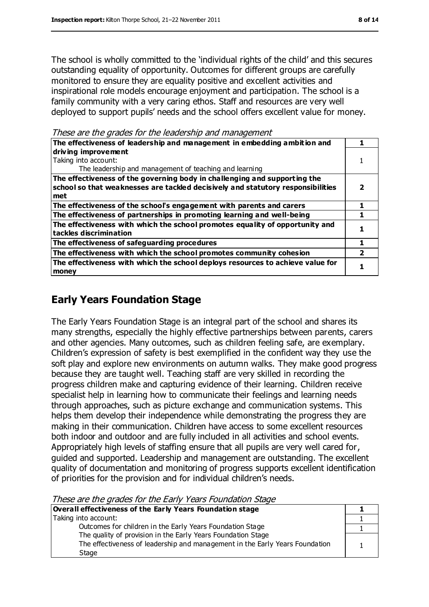The school is wholly committed to the 'individual rights of the child' and this secures outstanding equality of opportunity. Outcomes for different groups are carefully monitored to ensure they are equality positive and excellent activities and inspirational role models encourage enjoyment and participation. The school is a family community with a very caring ethos. Staff and resources are very well deployed to support pupils' needs and the school offers excellent value for money.

These are the grades for the leadership and management

| The effectiveness of leadership and management in embedding ambition and                                                                                            |  |
|---------------------------------------------------------------------------------------------------------------------------------------------------------------------|--|
| driving improvement<br>Taking into account:<br>The leadership and management of teaching and learning                                                               |  |
| The effectiveness of the governing body in challenging and supporting the<br>school so that weaknesses are tackled decisively and statutory responsibilities<br>met |  |
| The effectiveness of the school's engagement with parents and carers                                                                                                |  |
| The effectiveness of partnerships in promoting learning and well-being                                                                                              |  |
| The effectiveness with which the school promotes equality of opportunity and<br>tackles discrimination                                                              |  |
| The effectiveness of safeguarding procedures                                                                                                                        |  |
| The effectiveness with which the school promotes community cohesion                                                                                                 |  |
| The effectiveness with which the school deploys resources to achieve value for<br>money                                                                             |  |

## **Early Years Foundation Stage**

The Early Years Foundation Stage is an integral part of the school and shares its many strengths, especially the highly effective partnerships between parents, carers and other agencies. Many outcomes, such as children feeling safe, are exemplary. Children's expression of safety is best exemplified in the confident way they use the soft play and explore new environments on autumn walks. They make good progress because they are taught well. Teaching staff are very skilled in recording the progress children make and capturing evidence of their learning. Children receive specialist help in learning how to communicate their feelings and learning needs through approaches, such as picture exchange and communication systems. This helps them develop their independence while demonstrating the progress they are making in their communication. Children have access to some excellent resources both indoor and outdoor and are fully included in all activities and school events. Appropriately high levels of staffing ensure that all pupils are very well cared for, guided and supported. Leadership and management are outstanding. The excellent quality of documentation and monitoring of progress supports excellent identification of priorities for the provision and for individual children's needs.

These are the grades for the Early Years Foundation Stage

| Overall effectiveness of the Early Years Foundation stage                    |  |
|------------------------------------------------------------------------------|--|
| Taking into account:                                                         |  |
| Outcomes for children in the Early Years Foundation Stage                    |  |
| The quality of provision in the Early Years Foundation Stage                 |  |
| The effectiveness of leadership and management in the Early Years Foundation |  |
| Stage                                                                        |  |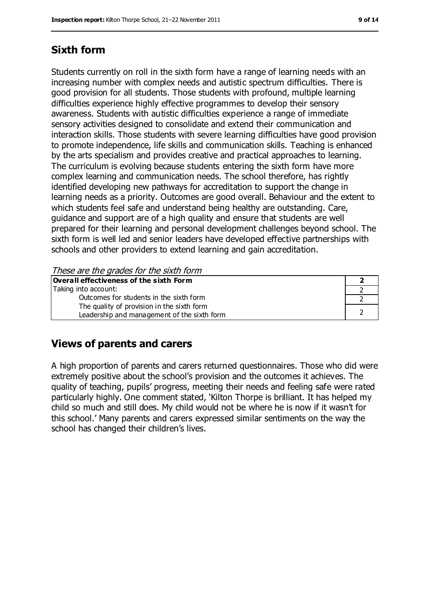## **Sixth form**

Students currently on roll in the sixth form have a range of learning needs with an increasing number with complex needs and autistic spectrum difficulties. There is good provision for all students. Those students with profound, multiple learning difficulties experience highly effective programmes to develop their sensory awareness. Students with autistic difficulties experience a range of immediate sensory activities designed to consolidate and extend their communication and interaction skills. Those students with severe learning difficulties have good provision to promote independence, life skills and communication skills. Teaching is enhanced by the arts specialism and provides creative and practical approaches to learning. The curriculum is evolving because students entering the sixth form have more complex learning and communication needs. The school therefore, has rightly identified developing new pathways for accreditation to support the change in learning needs as a priority. Outcomes are good overall. Behaviour and the extent to which students feel safe and understand being healthy are outstanding. Care, guidance and support are of a high quality and ensure that students are well prepared for their learning and personal development challenges beyond school. The sixth form is well led and senior leaders have developed effective partnerships with schools and other providers to extend learning and gain accreditation.

These are the grades for the sixth form

| Overall effectiveness of the sixth Form     |  |
|---------------------------------------------|--|
| Taking into account:                        |  |
| Outcomes for students in the sixth form     |  |
| The quality of provision in the sixth form  |  |
| Leadership and management of the sixth form |  |

## **Views of parents and carers**

A high proportion of parents and carers returned questionnaires. Those who did were extremely positive about the school's provision and the outcomes it achieves. The quality of teaching, pupils' progress, meeting their needs and feeling safe were rated particularly highly. One comment stated, 'Kilton Thorpe is brilliant. It has helped my child so much and still does. My child would not be where he is now if it wasn't for this school.' Many parents and carers expressed similar sentiments on the way the school has changed their children's lives.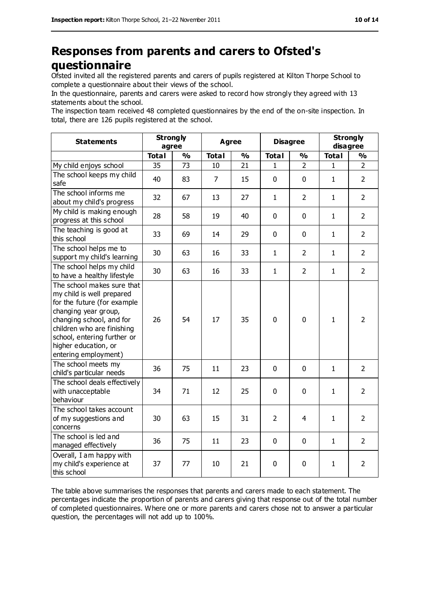## **Responses from parents and carers to Ofsted's questionnaire**

Ofsted invited all the registered parents and carers of pupils registered at Kilton Thorpe School to complete a questionnaire about their views of the school.

In the questionnaire, parents and carers were asked to record how strongly they agreed with 13 statements about the school.

The inspection team received 48 completed questionnaires by the end of the on-site inspection. In total, there are 126 pupils registered at the school.

| <b>Statements</b>                                                                                                                                                                                                                                       | <b>Strongly</b><br>agree |               |                | <b>Agree</b>  |                | <b>Disagree</b> |              | <b>Strongly</b><br>disagree |
|---------------------------------------------------------------------------------------------------------------------------------------------------------------------------------------------------------------------------------------------------------|--------------------------|---------------|----------------|---------------|----------------|-----------------|--------------|-----------------------------|
|                                                                                                                                                                                                                                                         | <b>Total</b>             | $\frac{9}{6}$ | <b>Total</b>   | $\frac{1}{2}$ | <b>Total</b>   | $\frac{1}{2}$   | <b>Total</b> | %                           |
| My child enjoys school                                                                                                                                                                                                                                  | 35                       | 73            | 10             | 21            | 1              | $\overline{2}$  | 1            | $\overline{2}$              |
| The school keeps my child<br>safe                                                                                                                                                                                                                       | 40                       | 83            | $\overline{7}$ | 15            | 0              | $\mathbf 0$     | $\mathbf{1}$ | $\overline{2}$              |
| The school informs me<br>about my child's progress                                                                                                                                                                                                      | 32                       | 67            | 13             | 27            | 1              | $\overline{2}$  | $\mathbf{1}$ | $\overline{2}$              |
| My child is making enough<br>progress at this school                                                                                                                                                                                                    | 28                       | 58            | 19             | 40            | 0              | $\mathbf 0$     | $\mathbf{1}$ | $\overline{2}$              |
| The teaching is good at<br>this school                                                                                                                                                                                                                  | 33                       | 69            | 14             | 29            | 0              | $\mathbf 0$     | $\mathbf{1}$ | $\overline{2}$              |
| The school helps me to<br>support my child's learning                                                                                                                                                                                                   | 30                       | 63            | 16             | 33            | $\mathbf{1}$   | $\overline{2}$  | $\mathbf{1}$ | $\overline{2}$              |
| The school helps my child<br>to have a healthy lifestyle                                                                                                                                                                                                | 30                       | 63            | 16             | 33            | $\mathbf{1}$   | $\overline{2}$  | $\mathbf{1}$ | $\overline{2}$              |
| The school makes sure that<br>my child is well prepared<br>for the future (for example<br>changing year group,<br>changing school, and for<br>children who are finishing<br>school, entering further or<br>higher education, or<br>entering employment) | 26                       | 54            | 17             | 35            | $\overline{0}$ | $\mathbf 0$     | $\mathbf{1}$ | $\overline{2}$              |
| The school meets my<br>child's particular needs                                                                                                                                                                                                         | 36                       | 75            | 11             | 23            | 0              | $\mathbf{0}$    | $\mathbf{1}$ | $\overline{2}$              |
| The school deals effectively<br>with unacceptable<br>behaviour                                                                                                                                                                                          | 34                       | 71            | 12             | 25            | 0              | $\mathbf 0$     | $\mathbf{1}$ | $\overline{2}$              |
| The school takes account<br>of my suggestions and<br>concerns                                                                                                                                                                                           | 30                       | 63            | 15             | 31            | $\overline{2}$ | 4               | $\mathbf{1}$ | $\overline{2}$              |
| The school is led and<br>managed effectively                                                                                                                                                                                                            | 36                       | 75            | 11             | 23            | 0              | $\mathbf 0$     | $\mathbf{1}$ | $\overline{2}$              |
| Overall, I am happy with<br>my child's experience at<br>this school                                                                                                                                                                                     | 37                       | 77            | 10             | 21            | 0              | 0               | 1            | $\overline{2}$              |

The table above summarises the responses that parents and carers made to each statement. The percentages indicate the proportion of parents and carers giving that response out of the total number of completed questionnaires. Where one or more parents and carers chose not to answer a particular question, the percentages will not add up to 100%.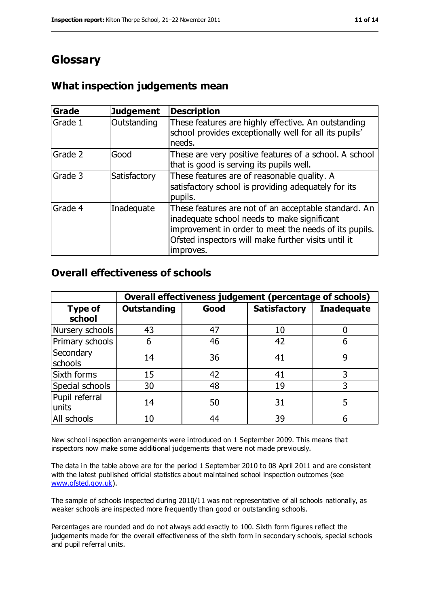## **Glossary**

#### **What inspection judgements mean**

| <b>Grade</b> | <b>Judgement</b> | <b>Description</b>                                                                                                                                                                                                               |
|--------------|------------------|----------------------------------------------------------------------------------------------------------------------------------------------------------------------------------------------------------------------------------|
| Grade 1      | Outstanding      | These features are highly effective. An outstanding<br>school provides exceptionally well for all its pupils'<br>needs.                                                                                                          |
| Grade 2      | Good             | These are very positive features of a school. A school<br>that is good is serving its pupils well.                                                                                                                               |
| Grade 3      | Satisfactory     | These features are of reasonable quality. A<br>satisfactory school is providing adequately for its<br>pupils.                                                                                                                    |
| Grade 4      | Inadequate       | These features are not of an acceptable standard. An<br>inadequate school needs to make significant<br>improvement in order to meet the needs of its pupils.<br>Ofsted inspectors will make further visits until it<br>improves. |

#### **Overall effectiveness of schools**

|                          | Overall effectiveness judgement (percentage of schools) |      |                     |                   |
|--------------------------|---------------------------------------------------------|------|---------------------|-------------------|
| <b>Type of</b><br>school | <b>Outstanding</b>                                      | Good | <b>Satisfactory</b> | <b>Inadequate</b> |
| Nursery schools          | 43                                                      | 47   | 10                  |                   |
| Primary schools          | 6                                                       | 46   | 42                  | 6                 |
| Secondary<br>schools     | 14                                                      | 36   | 41                  | 9                 |
| Sixth forms              | 15                                                      | 42   | 41                  | 3                 |
| Special schools          | 30                                                      | 48   | 19                  | 3                 |
| Pupil referral<br>units  | 14                                                      | 50   | 31                  | 5                 |
| All schools              | 10                                                      | 44   | 39                  |                   |

New school inspection arrangements were introduced on 1 September 2009. This means that inspectors now make some additional judgements that were not made previously.

The data in the table above are for the period 1 September 2010 to 08 April 2011 and are consistent with the latest published official statistics about maintained school inspection outcomes (see [www.ofsted.gov.uk\)](http://www.ofsted.gov.uk/).

The sample of schools inspected during 2010/11 was not representative of all schools nationally, as weaker schools are inspected more frequently than good or outstanding schools.

Percentages are rounded and do not always add exactly to 100. Sixth form figures reflect the judgements made for the overall effectiveness of the sixth form in secondary schools, special schools and pupil referral units.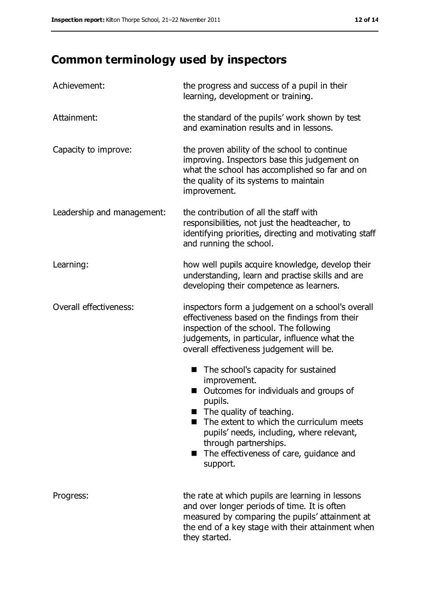# **Common terminology used by inspectors**

| Achievement:               | the progress and success of a pupil in their<br>learning, development or training.                                                                                                                                                                                                                                   |
|----------------------------|----------------------------------------------------------------------------------------------------------------------------------------------------------------------------------------------------------------------------------------------------------------------------------------------------------------------|
| Attainment:                | the standard of the pupils' work shown by test<br>and examination results and in lessons.                                                                                                                                                                                                                            |
| Capacity to improve:       | the proven ability of the school to continue<br>improving. Inspectors base this judgement on<br>what the school has accomplished so far and on<br>the quality of its systems to maintain<br>improvement.                                                                                                             |
| Leadership and management: | the contribution of all the staff with<br>responsibilities, not just the headteacher, to<br>identifying priorities, directing and motivating staff<br>and running the school.                                                                                                                                        |
| Learning:                  | how well pupils acquire knowledge, develop their<br>understanding, learn and practise skills and are<br>developing their competence as learners.                                                                                                                                                                     |
| Overall effectiveness:     | inspectors form a judgement on a school's overall<br>effectiveness based on the findings from their<br>inspection of the school. The following<br>judgements, in particular, influence what the<br>overall effectiveness judgement will be.                                                                          |
|                            | The school's capacity for sustained<br>■<br>improvement.<br>Outcomes for individuals and groups of<br>pupils.<br>The quality of teaching.<br>The extent to which the curriculum meets<br>pupils' needs, including, where relevant,<br>through partnerships.<br>■ The effectiveness of care, guidance and<br>support. |
| Progress:                  | the rate at which pupils are learning in lessons<br>and over longer periods of time. It is often<br>measured by comparing the pupils' attainment at<br>the end of a key stage with their attainment when<br>they started.                                                                                            |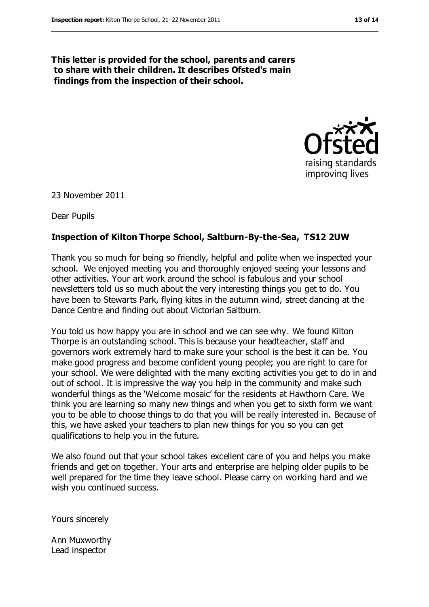**This letter is provided for the school, parents and carers to share with their children. It describes Ofsted's main findings from the inspection of their school.**



23 November 2011

Dear Pupils

#### **Inspection of Kilton Thorpe School, Saltburn-By-the-Sea, TS12 2UW**

Thank you so much for being so friendly, helpful and polite when we inspected your school. We enjoyed meeting you and thoroughly enjoyed seeing your lessons and other activities. Your art work around the school is fabulous and your school newsletters told us so much about the very interesting things you get to do. You have been to Stewarts Park, flying kites in the autumn wind, street dancing at the Dance Centre and finding out about Victorian Saltburn.

You told us how happy you are in school and we can see why. We found Kilton Thorpe is an outstanding school. This is because your headteacher, staff and governors work extremely hard to make sure your school is the best it can be. You make good progress and become confident young people; you are right to care for your school. We were delighted with the many exciting activities you get to do in and out of school. It is impressive the way you help in the community and make such wonderful things as the 'Welcome mosaic' for the residents at Hawthorn Care. We think you are learning so many new things and when you get to sixth form we want you to be able to choose things to do that you will be really interested in. Because of this, we have asked your teachers to plan new things for you so you can get qualifications to help you in the future.

We also found out that your school takes excellent care of you and helps you make friends and get on together. Your arts and enterprise are helping older pupils to be well prepared for the time they leave school. Please carry on working hard and we wish you continued success.

Yours sincerely

Ann Muxworthy Lead inspector